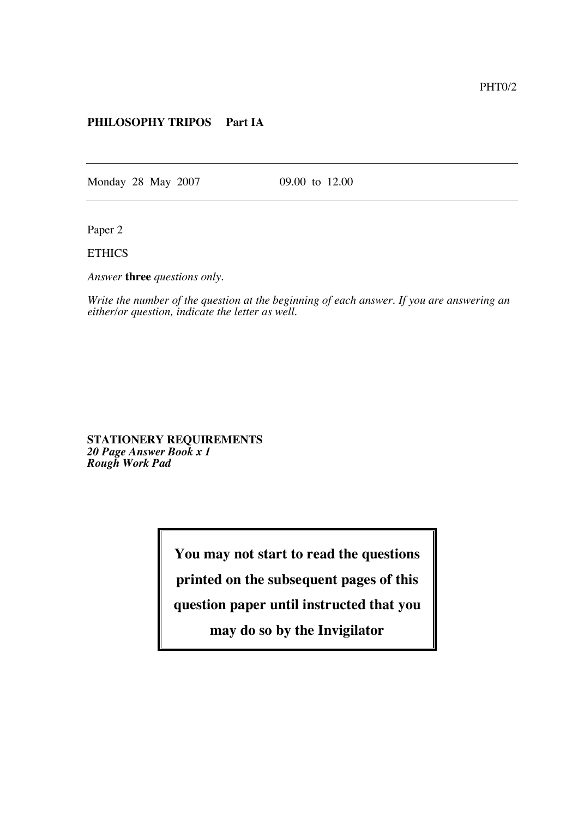## **PHILOSOPHY TRIPOS Part IA**

Monday 28 May 2007 09.00 to 12.00

Paper 2

**ETHICS** 

*Answer* **three** *questions only.*

*Write the number of the question at the beginning of each answer. If you are answering an either/or question, indicate the letter as well.*

**STATIONERY REQUIREMENTS** *20 Page Answer Book x 1 Rough Work Pad*

**You may not start to read the questions**

**printed on the subsequent pages of this**

**question paper until instructed that you**

**may do so by the Invigilator**